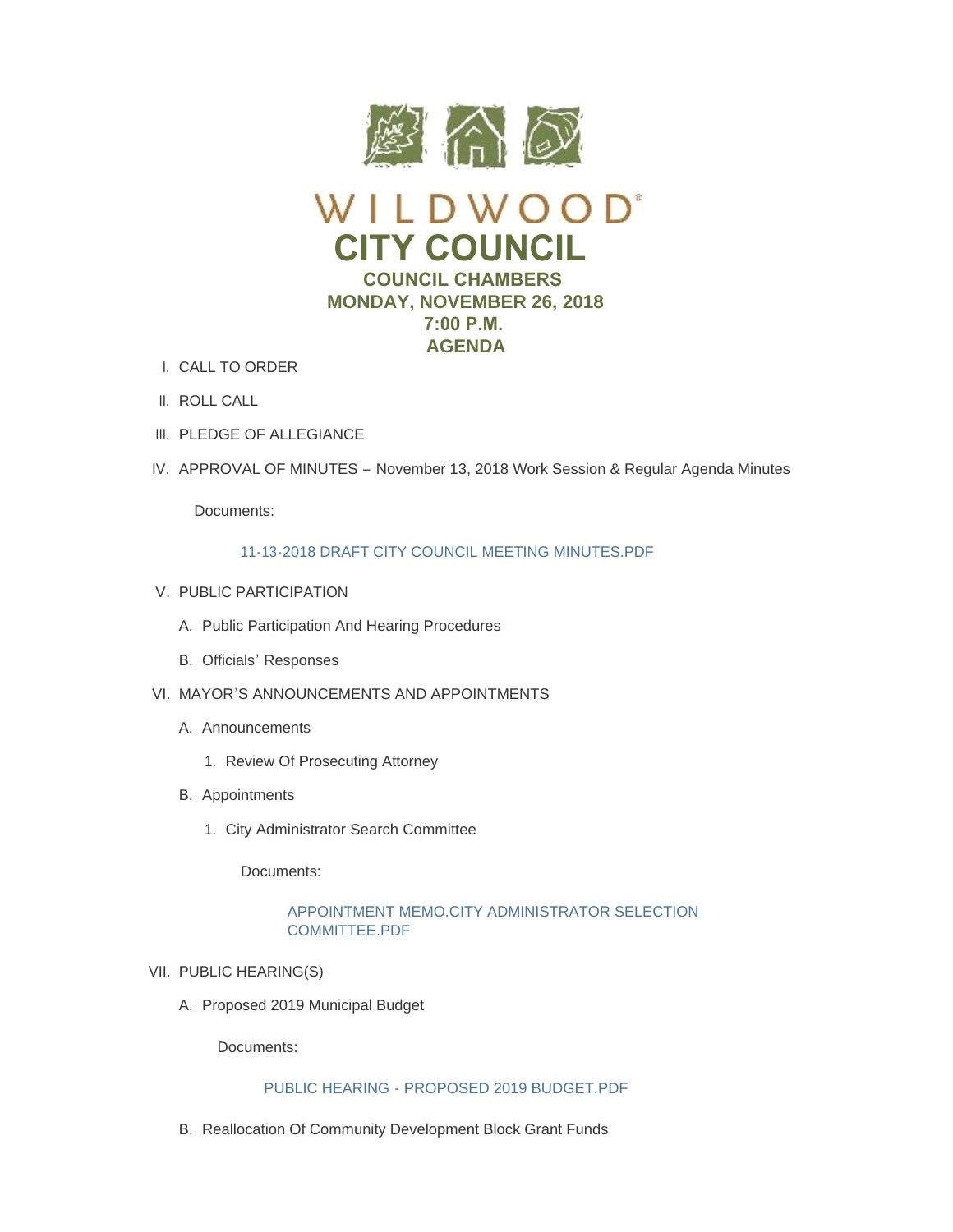

- CALL TO ORDER I.
- II. ROLL CALL
- III. PLEDGE OF ALLEGIANCE
- IV. APPROVAL OF MINUTES November 13, 2018 Work Session & Regular Agenda Minutes

# [11-13-2018 DRAFT CITY COUNCIL MEETING MINUTES.PDF](https://www.cityofwildwood.com/AgendaCenter/ViewFile/Item/17953?fileID=25042)

- V. PUBLIC PARTICIPATION
	- A. Public Participation And Hearing Procedures
	- B. Officials' Responses
- VI. MAYOR'S ANNOUNCEMENTS AND APPOINTMENTS
	- A. Announcements
		- 1. Review Of Prosecuting Attorney
	- B. Appointments
		- 1. City Administrator Search Committee

Documents:

# [APPOINTMENT MEMO.CITY ADMINISTRATOR SELECTION](https://www.cityofwildwood.com/AgendaCenter/ViewFile/Item/18018?fileID=25073)  COMMITTEE.PDF

- VII. PUBLIC HEARING(S)
	- A. Proposed 2019 Municipal Budget

Documents:

# PUBLIC HEARING - [PROPOSED 2019 BUDGET.PDF](https://www.cityofwildwood.com/AgendaCenter/ViewFile/Item/17963?fileID=25043)

B. Reallocation Of Community Development Block Grant Funds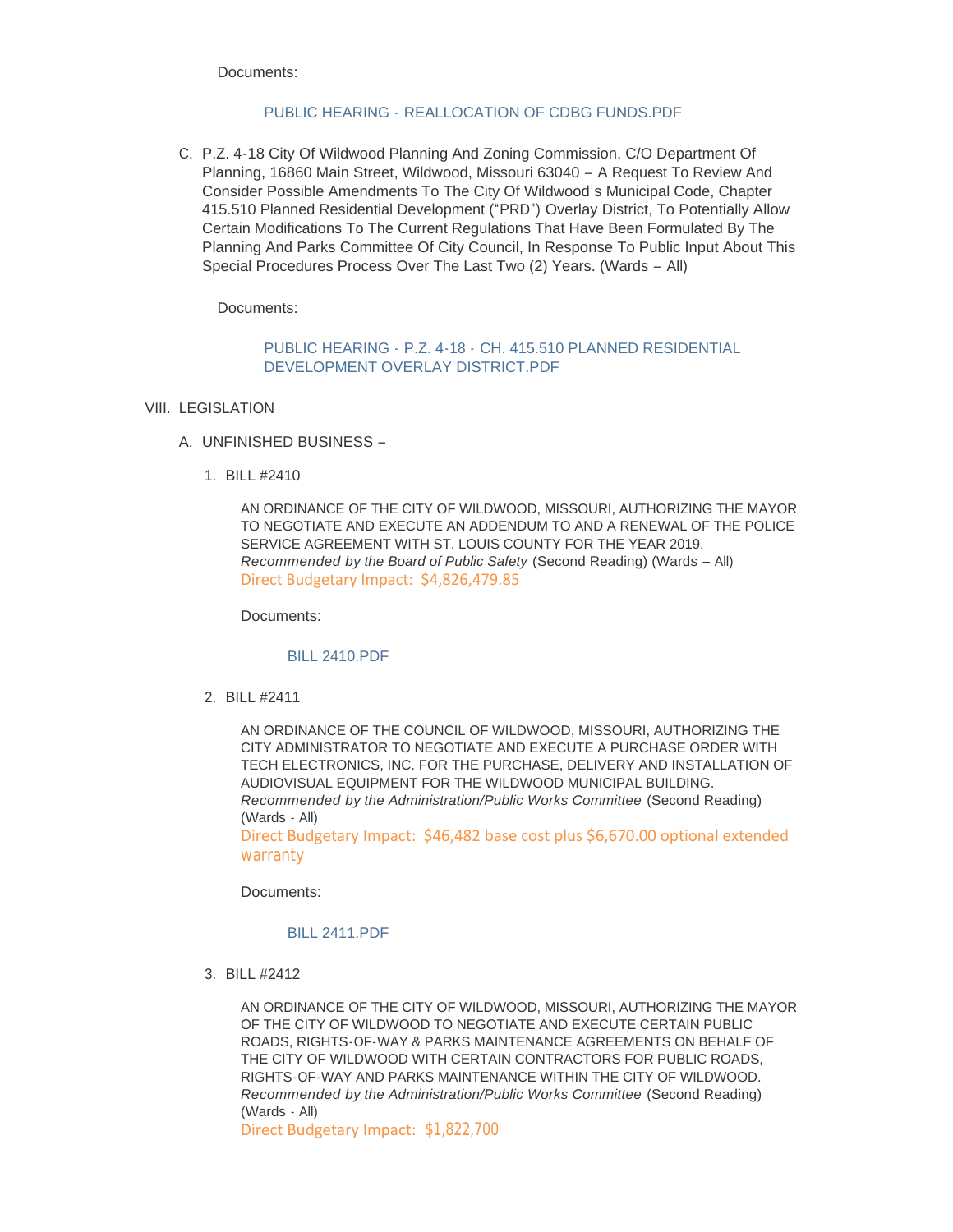# PUBLIC HEARING - [REALLOCATION OF CDBG FUNDS.PDF](https://www.cityofwildwood.com/AgendaCenter/ViewFile/Item/17964?fileID=25044)

C. P.Z. 4-18 City Of Wildwood Planning And Zoning Commission, C/O Department Of Planning, 16860 Main Street, Wildwood, Missouri 63040 – A Request To Review And Consider Possible Amendments To The City Of Wildwood's Municipal Code, Chapter 415.510 Planned Residential Development ("PRD") Overlay District, To Potentially Allow Certain Modifications To The Current Regulations That Have Been Formulated By The Planning And Parks Committee Of City Council, In Response To Public Input About This Special Procedures Process Over The Last Two (2) Years. (Wards – All)

Documents:

# PUBLIC HEARING - P.Z. 4-18 - CH. 415.510 PLANNED RESIDENTIAL [DEVELOPMENT OVERLAY DISTRICT.PDF](https://www.cityofwildwood.com/AgendaCenter/ViewFile/Item/17965?fileID=25045)

- VIII. LEGISLATION
	- UNFINISHED BUSINESS A.
		- BILL #2410 1.

AN ORDINANCE OF THE CITY OF WILDWOOD, MISSOURI, AUTHORIZING THE MAYOR TO NEGOTIATE AND EXECUTE AN ADDENDUM TO AND A RENEWAL OF THE POLICE SERVICE AGREEMENT WITH ST. LOUIS COUNTY FOR THE YEAR 2019. *Recommended by the Board of Public Safety* (Second Reading) (Wards – All) Direct Budgetary Impact: \$4,826,479.85

Documents:

#### [BILL 2410.PDF](https://www.cityofwildwood.com/AgendaCenter/ViewFile/Item/17968?fileID=25046)

BILL #2411 2.

AN ORDINANCE OF THE COUNCIL OF WILDWOOD, MISSOURI, AUTHORIZING THE CITY ADMINISTRATOR TO NEGOTIATE AND EXECUTE A PURCHASE ORDER WITH TECH ELECTRONICS, INC. FOR THE PURCHASE, DELIVERY AND INSTALLATION OF AUDIOVISUAL EQUIPMENT FOR THE WILDWOOD MUNICIPAL BUILDING. *Recommended by the Administration/Public Works Committee* (Second Reading) (Wards - All)

Direct Budgetary Impact: \$46,482 base cost plus \$6,670.00 optional extended warranty

Documents:

# [BILL 2411.PDF](https://www.cityofwildwood.com/AgendaCenter/ViewFile/Item/17969?fileID=25047)

BILL #2412 3.

AN ORDINANCE OF THE CITY OF WILDWOOD, MISSOURI, AUTHORIZING THE MAYOR OF THE CITY OF WILDWOOD TO NEGOTIATE AND EXECUTE CERTAIN PUBLIC ROADS, RIGHTS-OF-WAY & PARKS MAINTENANCE AGREEMENTS ON BEHALF OF THE CITY OF WILDWOOD WITH CERTAIN CONTRACTORS FOR PUBLIC ROADS, RIGHTS-OF-WAY AND PARKS MAINTENANCE WITHIN THE CITY OF WILDWOOD. *Recommended by the Administration/Public Works Committee* (Second Reading) (Wards - All)

Direct Budgetary Impact: \$1,822,700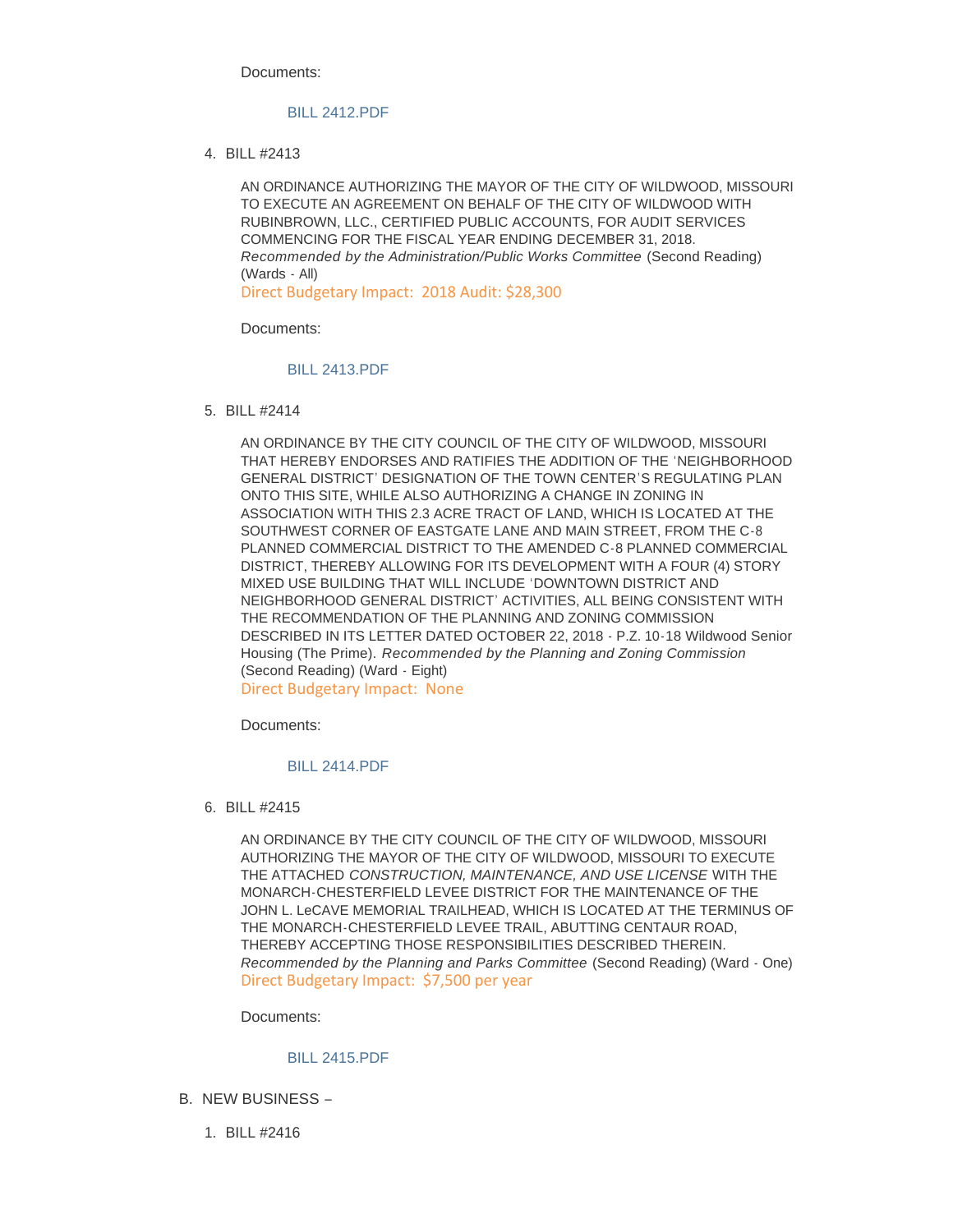## [BILL 2412.PDF](https://www.cityofwildwood.com/AgendaCenter/ViewFile/Item/17970?fileID=25048)

BILL #2413 4.

AN ORDINANCE AUTHORIZING THE MAYOR OF THE CITY OF WILDWOOD, MISSOURI TO EXECUTE AN AGREEMENT ON BEHALF OF THE CITY OF WILDWOOD WITH RUBINBROWN, LLC., CERTIFIED PUBLIC ACCOUNTS, FOR AUDIT SERVICES COMMENCING FOR THE FISCAL YEAR ENDING DECEMBER 31, 2018. *Recommended by the Administration/Public Works Committee* (Second Reading) (Wards - All)

Direct Budgetary Impact: 2018 Audit: \$28,300

Documents:

# [BILL 2413.PDF](https://www.cityofwildwood.com/AgendaCenter/ViewFile/Item/17971?fileID=25049)

BILL #2414 5.

AN ORDINANCE BY THE CITY COUNCIL OF THE CITY OF WILDWOOD, MISSOURI THAT HEREBY ENDORSES AND RATIFIES THE ADDITION OF THE 'NEIGHBORHOOD GENERAL DISTRICT' DESIGNATION OF THE TOWN CENTER'S REGULATING PLAN ONTO THIS SITE, WHILE ALSO AUTHORIZING A CHANGE IN ZONING IN ASSOCIATION WITH THIS 2.3 ACRE TRACT OF LAND, WHICH IS LOCATED AT THE SOUTHWEST CORNER OF EASTGATE LANE AND MAIN STREET, FROM THE C-8 PLANNED COMMERCIAL DISTRICT TO THE AMENDED C-8 PLANNED COMMERCIAL DISTRICT, THEREBY ALLOWING FOR ITS DEVELOPMENT WITH A FOUR (4) STORY MIXED USE BUILDING THAT WILL INCLUDE 'DOWNTOWN DISTRICT AND NEIGHBORHOOD GENERAL DISTRICT' ACTIVITIES, ALL BEING CONSISTENT WITH THE RECOMMENDATION OF THE PLANNING AND ZONING COMMISSION DESCRIBED IN ITS LETTER DATED OCTOBER 22, 2018 - P.Z. 10-18 Wildwood Senior Housing (The Prime). *Recommended by the Planning and Zoning Commission* (Second Reading) (Ward - Eight) Direct Budgetary Impact: None

Documents:

# [BILL 2414.PDF](https://www.cityofwildwood.com/AgendaCenter/ViewFile/Item/17972?fileID=25050)

BILL #2415 6.

AN ORDINANCE BY THE CITY COUNCIL OF THE CITY OF WILDWOOD, MISSOURI AUTHORIZING THE MAYOR OF THE CITY OF WILDWOOD, MISSOURI TO EXECUTE THE ATTACHED *CONSTRUCTION, MAINTENANCE, AND USE LICENSE* WITH THE MONARCH-CHESTERFIELD LEVEE DISTRICT FOR THE MAINTENANCE OF THE JOHN L. LeCAVE MEMORIAL TRAILHEAD, WHICH IS LOCATED AT THE TERMINUS OF THE MONARCH-CHESTERFIELD LEVEE TRAIL, ABUTTING CENTAUR ROAD, THEREBY ACCEPTING THOSE RESPONSIBILITIES DESCRIBED THEREIN. *Recommended by the Planning and Parks Committee* (Second Reading) (Ward - One) Direct Budgetary Impact: \$7,500 per year

Documents:

# [BILL 2415.PDF](https://www.cityofwildwood.com/AgendaCenter/ViewFile/Item/17973?fileID=25051)

- B. NEW BUSINESS
	- BILL #2416 1.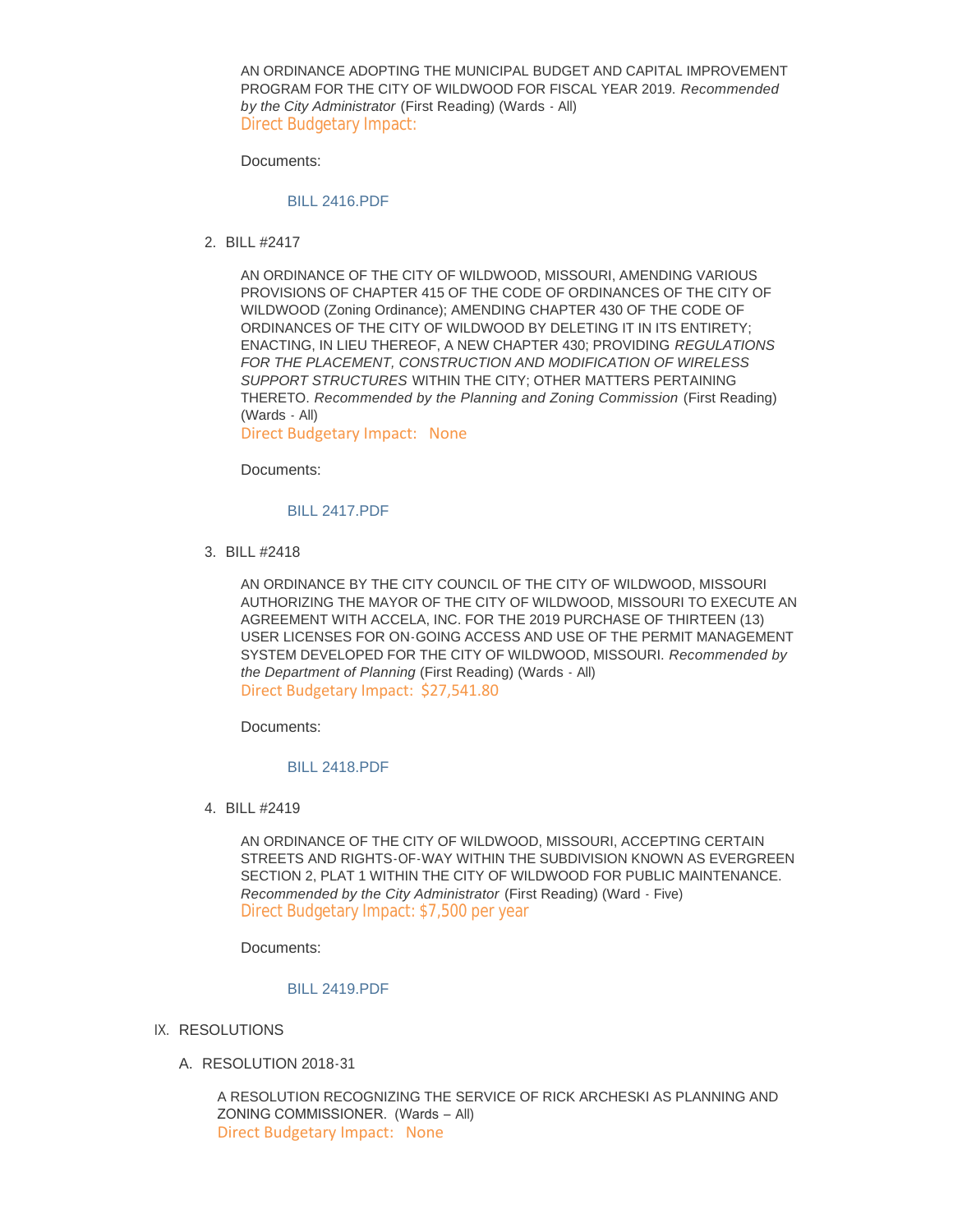AN ORDINANCE ADOPTING THE MUNICIPAL BUDGET AND CAPITAL IMPROVEMENT PROGRAM FOR THE CITY OF WILDWOOD FOR FISCAL YEAR 2019. *Recommended by the City Administrator* (First Reading) (Wards - All) Direct Budgetary Impact:

Documents:

#### [BILL 2416.PDF](https://www.cityofwildwood.com/AgendaCenter/ViewFile/Item/17975?fileID=25052)

BILL #2417 2.

AN ORDINANCE OF THE CITY OF WILDWOOD, MISSOURI, AMENDING VARIOUS PROVISIONS OF CHAPTER 415 OF THE CODE OF ORDINANCES OF THE CITY OF WILDWOOD (Zoning Ordinance); AMENDING CHAPTER 430 OF THE CODE OF ORDINANCES OF THE CITY OF WILDWOOD BY DELETING IT IN ITS ENTIRETY; ENACTING, IN LIEU THEREOF, A NEW CHAPTER 430; PROVIDING *REGULATIONS FOR THE PLACEMENT, CONSTRUCTION AND MODIFICATION OF WIRELESS SUPPORT STRUCTURES* WITHIN THE CITY; OTHER MATTERS PERTAINING THERETO. *Recommended by the Planning and Zoning Commission* (First Reading) (Wards - All)

Direct Budgetary Impact: None

Documents:

### [BILL 2417.PDF](https://www.cityofwildwood.com/AgendaCenter/ViewFile/Item/17976?fileID=25053)

BILL #2418 3.

AN ORDINANCE BY THE CITY COUNCIL OF THE CITY OF WILDWOOD, MISSOURI AUTHORIZING THE MAYOR OF THE CITY OF WILDWOOD, MISSOURI TO EXECUTE AN AGREEMENT WITH ACCELA, INC. FOR THE 2019 PURCHASE OF THIRTEEN (13) USER LICENSES FOR ON-GOING ACCESS AND USE OF THE PERMIT MANAGEMENT SYSTEM DEVELOPED FOR THE CITY OF WILDWOOD, MISSOURI. *Recommended by the Department of Planning* (First Reading) (Wards - All) Direct Budgetary Impact: \$27,541.80

Documents:

#### [BILL 2418.PDF](https://www.cityofwildwood.com/AgendaCenter/ViewFile/Item/17977?fileID=25054)

BILL #2419 4.

AN ORDINANCE OF THE CITY OF WILDWOOD, MISSOURI, ACCEPTING CERTAIN STREETS AND RIGHTS-OF-WAY WITHIN THE SUBDIVISION KNOWN AS EVERGREEN SECTION 2, PLAT 1 WITHIN THE CITY OF WILDWOOD FOR PUBLIC MAINTENANCE. *Recommended by the City Administrator* (First Reading) (Ward - Five) Direct Budgetary Impact: \$7,500 per year

Documents:

#### [BILL 2419.PDF](https://www.cityofwildwood.com/AgendaCenter/ViewFile/Item/17978?fileID=25055)

- IX. RESOLUTIONS
	- A. RESOLUTION 2018-31

A RESOLUTION RECOGNIZING THE SERVICE OF RICK ARCHESKI AS PLANNING AND ZONING COMMISSIONER. (Wards – All) Direct Budgetary Impact: None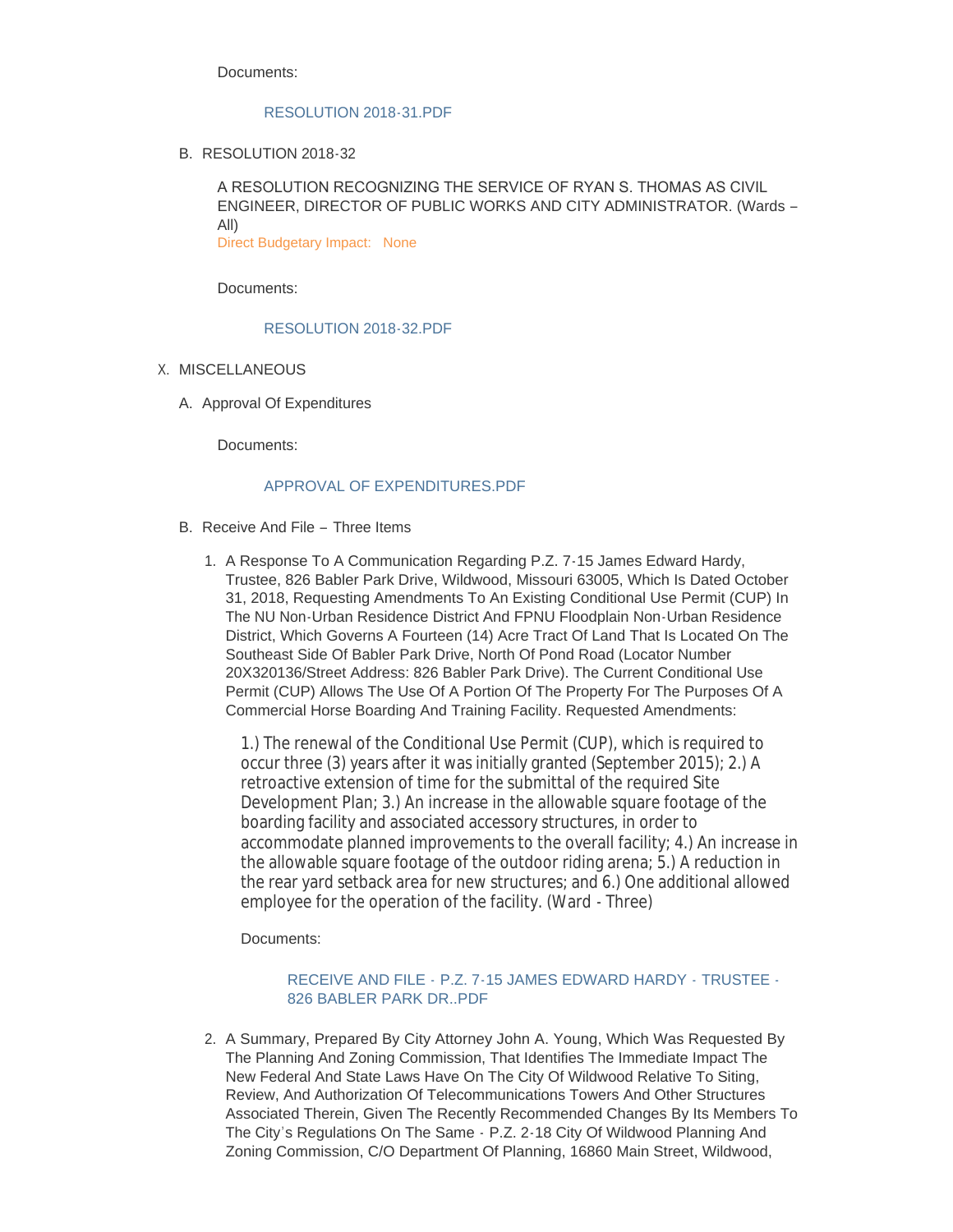# [RESOLUTION 2018-31.PDF](https://www.cityofwildwood.com/AgendaCenter/ViewFile/Item/17980?fileID=25056)

B. RESOLUTION 2018-32

A RESOLUTION RECOGNIZING THE SERVICE OF RYAN S. THOMAS AS CIVIL ENGINEER, DIRECTOR OF PUBLIC WORKS AND CITY ADMINISTRATOR. (Wards – All)

Direct Budgetary Impact: None

Documents:

# [RESOLUTION 2018-32.PDF](https://www.cityofwildwood.com/AgendaCenter/ViewFile/Item/18017?fileID=25072)

- X. MISCELLANEOUS
	- A. Approval Of Expenditures

Documents:

# APPROVAL OF EXPENDITURES PDF

- B. Receive And File Three Items
	- 1. A Response To A Communication Regarding P.Z. 7-15 James Edward Hardy, Trustee, 826 Babler Park Drive, Wildwood, Missouri 63005, Which Is Dated October 31, 2018, Requesting Amendments To An Existing Conditional Use Permit (CUP) In The NU Non-Urban Residence District And FPNU Floodplain Non-Urban Residence District, Which Governs A Fourteen (14) Acre Tract Of Land That Is Located On The Southeast Side Of Babler Park Drive, North Of Pond Road (Locator Number 20X320136/Street Address: 826 Babler Park Drive). The Current Conditional Use Permit (CUP) Allows The Use Of A Portion Of The Property For The Purposes Of A Commercial Horse Boarding And Training Facility. Requested Amendments:

1.) The renewal of the Conditional Use Permit (CUP), which is required to occur three (3) years after it was initially granted (September 2015); 2.) A retroactive extension of time for the submittal of the required Site Development Plan; 3.) An increase in the allowable square footage of the boarding facility and associated accessory structures, in order to accommodate planned improvements to the overall facility; 4.) An increase in the allowable square footage of the outdoor riding arena; 5.) A reduction in the rear yard setback area for new structures; and 6.) One additional allowed employee for the operation of the facility. (Ward - Three)

Documents:

# RECEIVE AND FILE - [P.Z. 7-15 JAMES EDWARD HARDY -](https://www.cityofwildwood.com/AgendaCenter/ViewFile/Item/17985?fileID=25059) TRUSTEE -826 BABLER PARK DR..PDF

2. A Summary, Prepared By City Attorney John A. Young, Which Was Requested By The Planning And Zoning Commission, That Identifies The Immediate Impact The New Federal And State Laws Have On The City Of Wildwood Relative To Siting, Review, And Authorization Of Telecommunications Towers And Other Structures Associated Therein, Given The Recently Recommended Changes By Its Members To The City's Regulations On The Same - P.Z. 2-18 City Of Wildwood Planning And Zoning Commission, C/O Department Of Planning, 16860 Main Street, Wildwood,